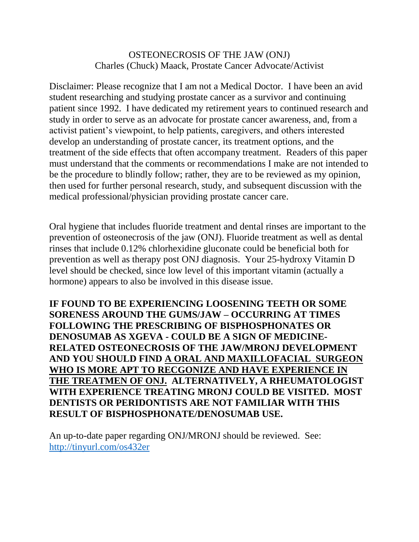## OSTEONECROSIS OF THE JAW (ONJ) Charles (Chuck) Maack, Prostate Cancer Advocate/Activist

Disclaimer: Please recognize that I am not a Medical Doctor. I have been an avid student researching and studying prostate cancer as a survivor and continuing patient since 1992. I have dedicated my retirement years to continued research and study in order to serve as an advocate for prostate cancer awareness, and, from a activist patient's viewpoint, to help patients, caregivers, and others interested develop an understanding of prostate cancer, its treatment options, and the treatment of the side effects that often accompany treatment. Readers of this paper must understand that the comments or recommendations I make are not intended to be the procedure to blindly follow; rather, they are to be reviewed as my opinion, then used for further personal research, study, and subsequent discussion with the medical professional/physician providing prostate cancer care.

Oral hygiene that includes fluoride treatment and dental rinses are important to the prevention of osteonecrosis of the jaw (ONJ). Fluoride treatment as well as dental rinses that include 0.12% chlorhexidine gluconate could be beneficial both for prevention as well as therapy post ONJ diagnosis. Your 25-hydroxy Vitamin D level should be checked, since low level of this important vitamin (actually a hormone) appears to also be involved in this disease issue.

**IF FOUND TO BE EXPERIENCING LOOSENING TEETH OR SOME SORENESS AROUND THE GUMS/JAW – OCCURRING AT TIMES FOLLOWING THE PRESCRIBING OF BISPHOSPHONATES OR DENOSUMAB AS XGEVA - COULD BE A SIGN OF MEDICINE-RELATED OSTEONECROSIS OF THE JAW/MRONJ DEVELOPMENT AND YOU SHOULD FIND A ORAL AND MAXILLOFACIAL SURGEON WHO IS MORE APT TO RECGONIZE AND HAVE EXPERIENCE IN THE TREATMEN OF ONJ. ALTERNATIVELY, A RHEUMATOLOGIST WITH EXPERIENCE TREATING MRONJ COULD BE VISITED. MOST DENTISTS OR PERIDONTISTS ARE NOT FAMILIAR WITH THIS RESULT OF BISPHOSPHONATE/DENOSUMAB USE.** 

An up-to-date paper regarding ONJ/MRONJ should be reviewed. See: <http://tinyurl.com/os432er>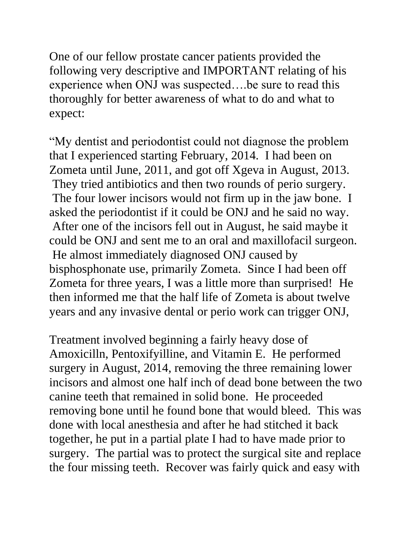One of our fellow prostate cancer patients provided the following very descriptive and IMPORTANT relating of his experience when ONJ was suspected….be sure to read this thoroughly for better awareness of what to do and what to expect:

"My dentist and periodontist could not diagnose the problem that I experienced starting February, 2014. I had been on Zometa until June, 2011, and got off Xgeva in August, 2013. They tried antibiotics and then two rounds of perio surgery. The four lower incisors would not firm up in the jaw bone. I asked the periodontist if it could be ONJ and he said no way. After one of the incisors fell out in August, he said maybe it could be ONJ and sent me to an oral and maxillofacil surgeon. He almost immediately diagnosed ONJ caused by bisphosphonate use, primarily Zometa. Since I had been off Zometa for three years, I was a little more than surprised! He then informed me that the half life of Zometa is about twelve years and any invasive dental or perio work can trigger ONJ,

Treatment involved beginning a fairly heavy dose of Amoxicilln, Pentoxifyilline, and Vitamin E. He performed surgery in August, 2014, removing the three remaining lower incisors and almost one half inch of dead bone between the two canine teeth that remained in solid bone. He proceeded removing bone until he found bone that would bleed. This was done with local anesthesia and after he had stitched it back together, he put in a partial plate I had to have made prior to surgery. The partial was to protect the surgical site and replace the four missing teeth. Recover was fairly quick and easy with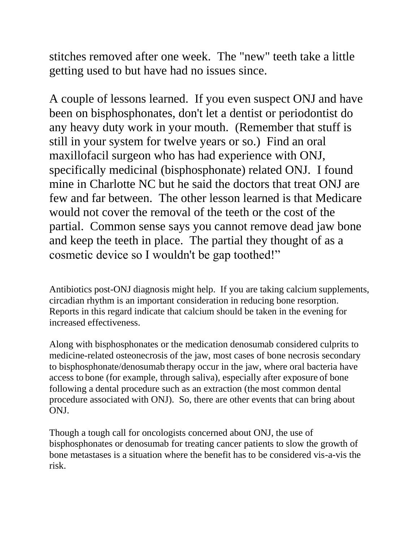stitches removed after one week. The "new" teeth take a little getting used to but have had no issues since.

A couple of lessons learned. If you even suspect ONJ and have been on bisphosphonates, don't let a dentist or periodontist do any heavy duty work in your mouth. (Remember that stuff is still in your system for twelve years or so.) Find an oral maxillofacil surgeon who has had experience with ONJ, specifically medicinal (bisphosphonate) related ONJ. I found mine in Charlotte NC but he said the doctors that treat ONJ are few and far between. The other lesson learned is that Medicare would not cover the removal of the teeth or the cost of the partial. Common sense says you cannot remove dead jaw bone and keep the teeth in place. The partial they thought of as a cosmetic device so I wouldn't be gap toothed!"

Antibiotics post-ONJ diagnosis might help. If you are taking calcium supplements, circadian rhythm is an important consideration in reducing bone resorption. Reports in this regard indicate that calcium should be taken in the evening for increased effectiveness.

Along with bisphosphonates or the medication denosumab considered culprits to medicine-related osteonecrosis of the jaw, most cases of bone necrosis secondary to bisphosphonate/denosumab therapy occur in the jaw, where oral bacteria have access to bone (for example, through saliva), especially after exposure of bone following a dental procedure such as an extraction (the most common dental procedure associated with ONJ). So, there are other events that can bring about ONJ.

Though a tough call for oncologists concerned about ONJ, the use of bisphosphonates or denosumab for treating cancer patients to slow the growth of bone metastases is a situation where the benefit has to be considered vis-a-vis the risk.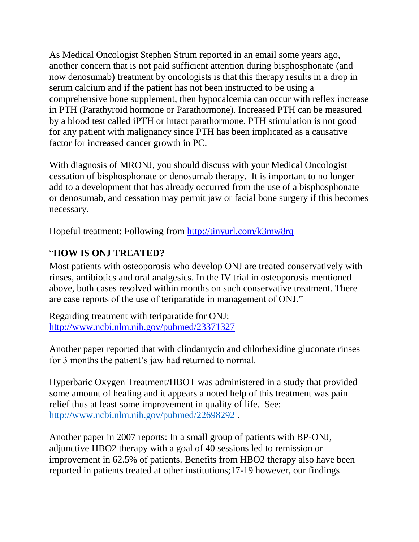As Medical Oncologist Stephen Strum reported in an email some years ago, another concern that is not paid sufficient attention during bisphosphonate (and now denosumab) treatment by oncologists is that this therapy results in a drop in serum calcium and if the patient has not been instructed to be using a comprehensive bone supplement, then hypocalcemia can occur with reflex increase in PTH (Parathyroid hormone or Parathormone). Increased PTH can be measured by a blood test called iPTH or intact parathormone. PTH stimulation is not good for any patient with malignancy since PTH has been implicated as a causative factor for increased cancer growth in PC.

With diagnosis of MRONJ, you should discuss with your Medical Oncologist cessation of bisphosphonate or denosumab therapy. It is important to no longer add to a development that has already occurred from the use of a bisphosphonate or denosumab, and cessation may permit jaw or facial bone surgery if this becomes necessary.

Hopeful treatment: Following from<http://tinyurl.com/k3mw8rq>

## "**HOW IS ONJ TREATED?**

Most patients with osteoporosis who develop ONJ are treated conservatively with rinses, antibiotics and oral analgesics. In the IV trial in osteoporosis mentioned above, both cases resolved within months on such conservative treatment. There are case reports of the use of teriparatide in management of ONJ."

Regarding treatment with teriparatide for ONJ: <http://www.ncbi.nlm.nih.gov/pubmed/23371327>

Another paper reported that with clindamycin and chlorhexidine gluconate rinses for 3 months the patient's jaw had returned to normal.

Hyperbaric Oxygen Treatment/HBOT was administered in a study that provided some amount of healing and it appears a noted help of this treatment was pain relief thus at least some improvement in quality of life. See: <http://www.ncbi.nlm.nih.gov/pubmed/22698292> .

Another paper in 2007 reports: In a small group of patients with BP-ONJ, adjunctive HBO2 therapy with a goal of 40 sessions led to remission or improvement in 62.5% of patients. Benefits from HBO2 therapy also have been reported in patients treated at other institutions;17-19 however, our findings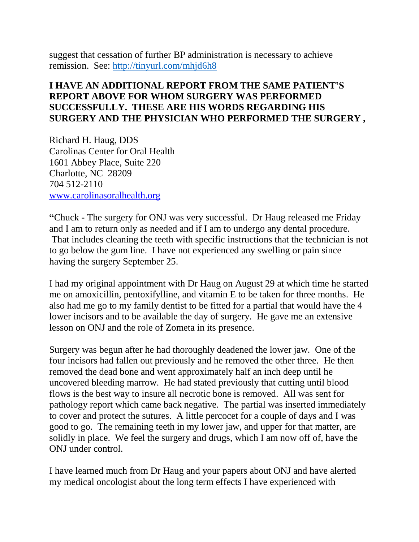suggest that cessation of further BP administration is necessary to achieve remission. See:<http://tinyurl.com/mhjd6h8>

## **I HAVE AN ADDITIONAL REPORT FROM THE SAME PATIENT'S REPORT ABOVE FOR WHOM SURGERY WAS PERFORMED SUCCESSFULLY. THESE ARE HIS WORDS REGARDING HIS SURGERY AND THE PHYSICIAN WHO PERFORMED THE SURGERY ,**

Richard H. Haug, DDS Carolinas Center for Oral Health 1601 Abbey Place, Suite 220 Charlotte, NC 28209 704 512-2110 [www.carolinasoralhealth.org](http://www.carolinasoralhealth.org/)

**"**Chuck - The surgery for ONJ was very successful. Dr Haug released me Friday and I am to return only as needed and if I am to undergo any dental procedure. That includes cleaning the teeth with specific instructions that the technician is not to go below the gum line. I have not experienced any swelling or pain since having the surgery September 25.

I had my original appointment with Dr Haug on August 29 at which time he started me on amoxicillin, pentoxifylline, and vitamin E to be taken for three months. He also had me go to my family dentist to be fitted for a partial that would have the 4 lower incisors and to be available the day of surgery. He gave me an extensive lesson on ONJ and the role of Zometa in its presence.

Surgery was begun after he had thoroughly deadened the lower jaw. One of the four incisors had fallen out previously and he removed the other three. He then removed the dead bone and went approximately half an inch deep until he uncovered bleeding marrow. He had stated previously that cutting until blood flows is the best way to insure all necrotic bone is removed. All was sent for pathology report which came back negative. The partial was inserted immediately to cover and protect the sutures. A little percocet for a couple of days and I was good to go. The remaining teeth in my lower jaw, and upper for that matter, are solidly in place. We feel the surgery and drugs, which I am now off of, have the ONJ under control.

I have learned much from Dr Haug and your papers about ONJ and have alerted my medical oncologist about the long term effects I have experienced with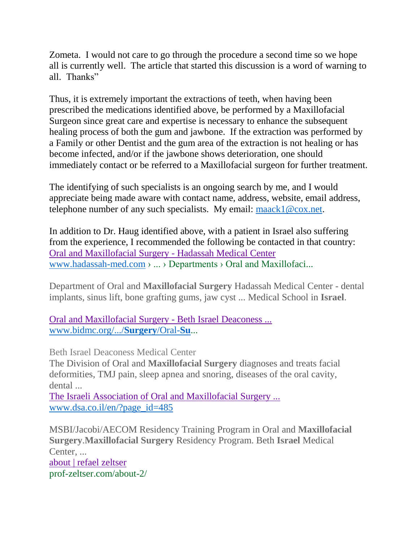Zometa. I would not care to go through the procedure a second time so we hope all is currently well. The article that started this discussion is a word of warning to all. Thanks"

Thus, it is extremely important the extractions of teeth, when having been prescribed the medications identified above, be performed by a Maxillofacial Surgeon since great care and expertise is necessary to enhance the subsequent healing process of both the gum and jawbone. If the extraction was performed by a Family or other Dentist and the gum area of the extraction is not healing or has become infected, and/or if the jawbone shows deterioration, one should immediately contact or be referred to a Maxillofacial surgeon for further treatment.

The identifying of such specialists is an ongoing search by me, and I would appreciate being made aware with contact name, address, website, email address, telephone number of any such specialists. My email: [maack1@cox.net.](mailto:maack1@cox.net)

In addition to Dr. Haug identified above, with a patient in Israel also suffering from the experience, I recommended the following be contacted in that country: [Oral and Maxillofacial Surgery -](http://www.hadassah-med.com/medical-care/departments/oral-and-maxillofacial-surgery) Hadassah Medical Center [www.hadassah-med.com](http://www.hadassah-med.com/) › ... › Departments › Oral and Maxillofaci...

Department of Oral and **Maxillofacial Surgery** Hadassah Medical Center - dental implants, sinus lift, bone grafting gums, jaw cyst ... Medical School in **Israel**.

[Oral and Maxillofacial Surgery -](http://www.bidmc.org/Centers-and-Departments/Departments/Surgery/Oral-Surgery.aspx) Beth Israel Deaconess ... [www.bidmc.org/.../](http://www.bidmc.org/.../Surgery/Oral-Su)**Surgery**/Oral-**Su**...

Beth Israel Deaconess Medical Center

The Division of Oral and **Maxillofacial Surgery** diagnoses and treats facial deformities, TMJ pain, sleep apnea and snoring, diseases of the oral cavity, dental ...

[The Israeli Association of Oral and Maxillofacial Surgery ...](http://www.dsa.co.il/en/?page_id=485) [www.dsa.co.il/en/?page\\_id=485](http://www.dsa.co.il/en/?page_id=485)

MSBI/Jacobi/AECOM Residency Training Program in Oral and **Maxillofacial Surgery**.**Maxillofacial Surgery** Residency Program. Beth **Israel** Medical Center, ... [about | refael zeltser](http://prof-zeltser.com/about-2/) prof-zeltser.com/about-2/